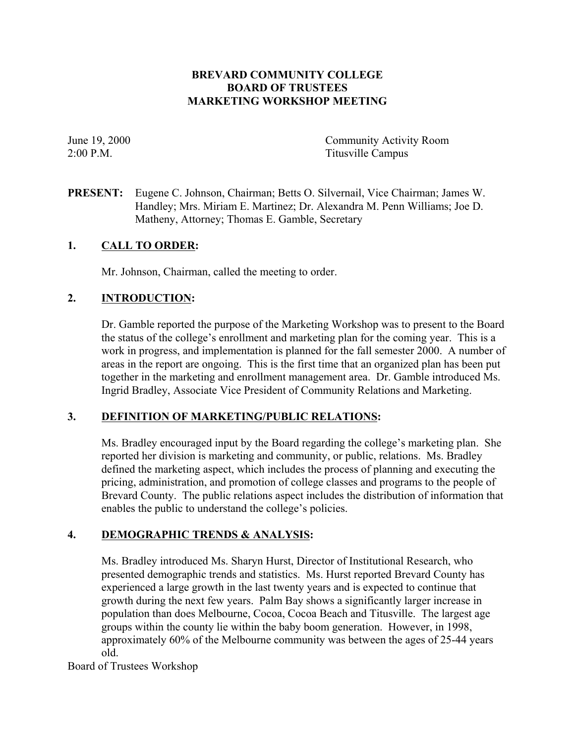# **BREVARD COMMUNITY COLLEGE BOARD OF TRUSTEES MARKETING WORKSHOP MEETING**

June 19, 2000 Community Activity Room 2:00 P.M. Titusville Campus

**PRESENT:** Eugene C. Johnson, Chairman; Betts O. Silvernail, Vice Chairman; James W. Handley; Mrs. Miriam E. Martinez; Dr. Alexandra M. Penn Williams; Joe D. Matheny, Attorney; Thomas E. Gamble, Secretary

#### **1. CALL TO ORDER:**

Mr. Johnson, Chairman, called the meeting to order.

#### **2. INTRODUCTION:**

Dr. Gamble reported the purpose of the Marketing Workshop was to present to the Board the status of the college's enrollment and marketing plan for the coming year. This is a work in progress, and implementation is planned for the fall semester 2000. A number of areas in the report are ongoing. This is the first time that an organized plan has been put together in the marketing and enrollment management area. Dr. Gamble introduced Ms. Ingrid Bradley, Associate Vice President of Community Relations and Marketing.

## **3. DEFINITION OF MARKETING/PUBLIC RELATIONS:**

Ms. Bradley encouraged input by the Board regarding the college's marketing plan. She reported her division is marketing and community, or public, relations. Ms. Bradley defined the marketing aspect, which includes the process of planning and executing the pricing, administration, and promotion of college classes and programs to the people of Brevard County. The public relations aspect includes the distribution of information that enables the public to understand the college's policies.

## **4. DEMOGRAPHIC TRENDS & ANALYSIS:**

Ms. Bradley introduced Ms. Sharyn Hurst, Director of Institutional Research, who presented demographic trends and statistics. Ms. Hurst reported Brevard County has experienced a large growth in the last twenty years and is expected to continue that growth during the next few years. Palm Bay shows a significantly larger increase in population than does Melbourne, Cocoa, Cocoa Beach and Titusville. The largest age groups within the county lie within the baby boom generation. However, in 1998, approximately 60% of the Melbourne community was between the ages of 25-44 years old.

Board of Trustees Workshop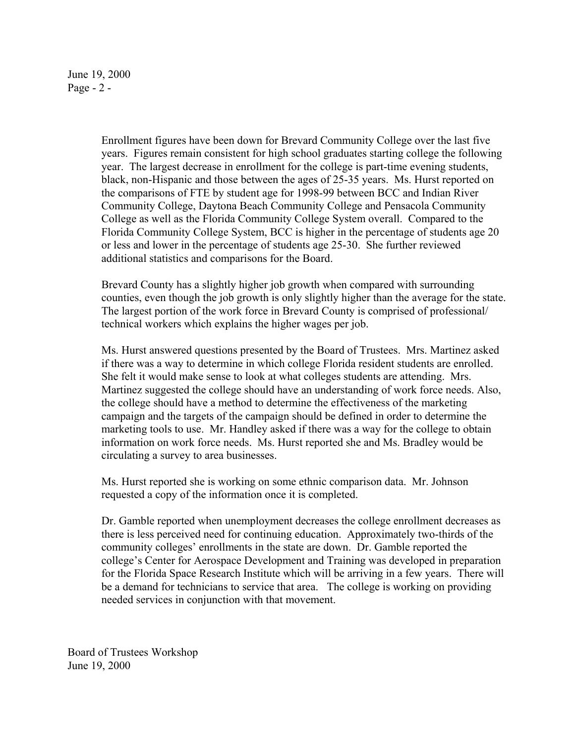June 19, 2000 Page - 2 -

> Enrollment figures have been down for Brevard Community College over the last five years. Figures remain consistent for high school graduates starting college the following year. The largest decrease in enrollment for the college is part-time evening students, black, non-Hispanic and those between the ages of 25-35 years. Ms. Hurst reported on the comparisons of FTE by student age for 1998-99 between BCC and Indian River Community College, Daytona Beach Community College and Pensacola Community College as well as the Florida Community College System overall. Compared to the Florida Community College System, BCC is higher in the percentage of students age 20 or less and lower in the percentage of students age 25-30. She further reviewed additional statistics and comparisons for the Board.

> Brevard County has a slightly higher job growth when compared with surrounding counties, even though the job growth is only slightly higher than the average for the state. The largest portion of the work force in Brevard County is comprised of professional/ technical workers which explains the higher wages per job.

Ms. Hurst answered questions presented by the Board of Trustees. Mrs. Martinez asked if there was a way to determine in which college Florida resident students are enrolled. She felt it would make sense to look at what colleges students are attending. Mrs. Martinez suggested the college should have an understanding of work force needs. Also, the college should have a method to determine the effectiveness of the marketing campaign and the targets of the campaign should be defined in order to determine the marketing tools to use. Mr. Handley asked if there was a way for the college to obtain information on work force needs. Ms. Hurst reported she and Ms. Bradley would be circulating a survey to area businesses.

Ms. Hurst reported she is working on some ethnic comparison data. Mr. Johnson requested a copy of the information once it is completed.

Dr. Gamble reported when unemployment decreases the college enrollment decreases as there is less perceived need for continuing education. Approximately two-thirds of the community colleges' enrollments in the state are down. Dr. Gamble reported the college's Center for Aerospace Development and Training was developed in preparation for the Florida Space Research Institute which will be arriving in a few years. There will be a demand for technicians to service that area. The college is working on providing needed services in conjunction with that movement.

Board of Trustees Workshop June 19, 2000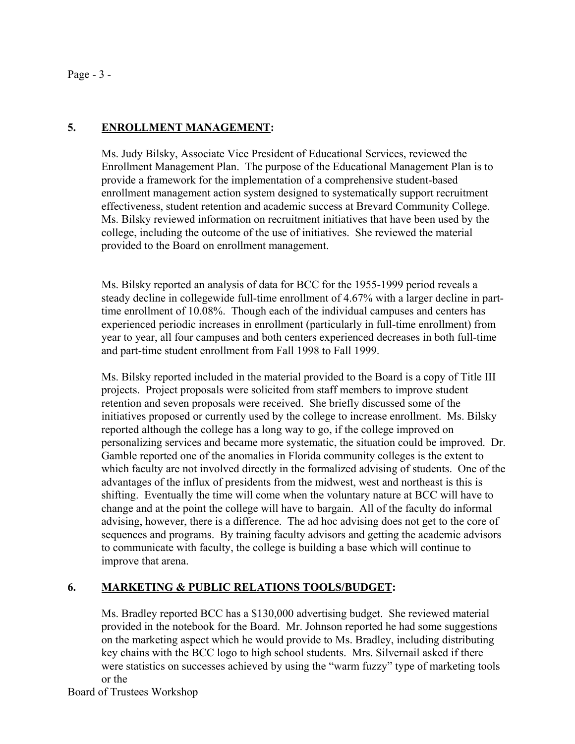#### Page - 3 -

### **5. ENROLLMENT MANAGEMENT:**

Ms. Judy Bilsky, Associate Vice President of Educational Services, reviewed the Enrollment Management Plan. The purpose of the Educational Management Plan is to provide a framework for the implementation of a comprehensive student-based enrollment management action system designed to systematically support recruitment effectiveness, student retention and academic success at Brevard Community College. Ms. Bilsky reviewed information on recruitment initiatives that have been used by the college, including the outcome of the use of initiatives. She reviewed the material provided to the Board on enrollment management.

Ms. Bilsky reported an analysis of data for BCC for the 1955-1999 period reveals a steady decline in collegewide full-time enrollment of 4.67% with a larger decline in parttime enrollment of 10.08%. Though each of the individual campuses and centers has experienced periodic increases in enrollment (particularly in full-time enrollment) from year to year, all four campuses and both centers experienced decreases in both full-time and part-time student enrollment from Fall 1998 to Fall 1999.

Ms. Bilsky reported included in the material provided to the Board is a copy of Title III projects. Project proposals were solicited from staff members to improve student retention and seven proposals were received. She briefly discussed some of the initiatives proposed or currently used by the college to increase enrollment. Ms. Bilsky reported although the college has a long way to go, if the college improved on personalizing services and became more systematic, the situation could be improved. Dr. Gamble reported one of the anomalies in Florida community colleges is the extent to which faculty are not involved directly in the formalized advising of students. One of the advantages of the influx of presidents from the midwest, west and northeast is this is shifting. Eventually the time will come when the voluntary nature at BCC will have to change and at the point the college will have to bargain. All of the faculty do informal advising, however, there is a difference. The ad hoc advising does not get to the core of sequences and programs. By training faculty advisors and getting the academic advisors to communicate with faculty, the college is building a base which will continue to improve that arena.

#### **6. MARKETING & PUBLIC RELATIONS TOOLS/BUDGET:**

Ms. Bradley reported BCC has a \$130,000 advertising budget. She reviewed material provided in the notebook for the Board. Mr. Johnson reported he had some suggestions on the marketing aspect which he would provide to Ms. Bradley, including distributing key chains with the BCC logo to high school students. Mrs. Silvernail asked if there were statistics on successes achieved by using the "warm fuzzy" type of marketing tools or the

Board of Trustees Workshop